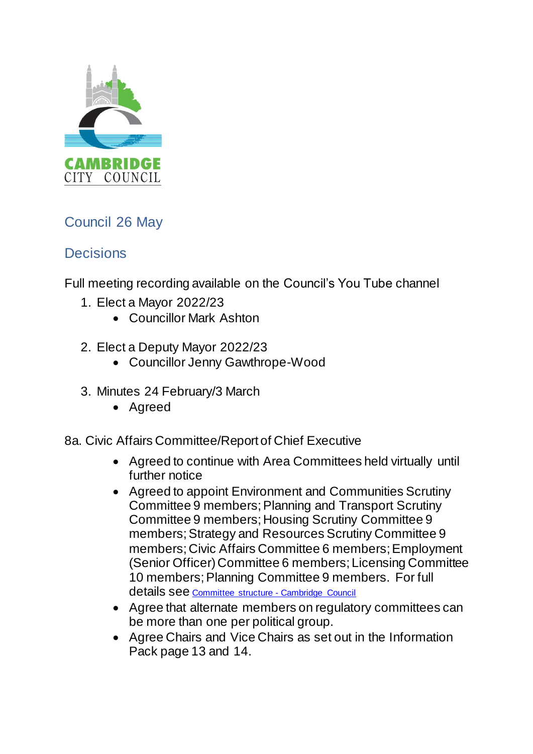

## Council 26 May

## **Decisions**

Full meeting recording available on the Council's You Tube channel

- 1. Elect a Mayor 2022/23
	- Councillor Mark Ashton
- 2. Elect a Deputy Mayor 2022/23
	- Councillor Jenny Gawthrope-Wood
- 3. Minutes 24 February/3 March
	- Agreed

8a. Civic Affairs Committee/Report of Chief Executive

- Agreed to continue with Area Committees held virtually until further notice
- Agreed to appoint Environment and Communities Scrutiny Committee 9 members; Planning and Transport Scrutiny Committee 9 members; Housing Scrutiny Committee 9 members; Strategy and Resources Scrutiny Committee 9 members; Civic Affairs Committee 6 members; Employment (Senior Officer) Committee 6 members; Licensing Committee 10 members; Planning Committee 9 members. For full details see [Committee structure -](https://democracy.cambridge.gov.uk/mgListCommittees.aspx?bcr=1) Cambridge Council
- Agree that alternate members on regulatory committees can be more than one per political group.
- Agree Chairs and Vice Chairs as set out in the Information Pack page 13 and 14.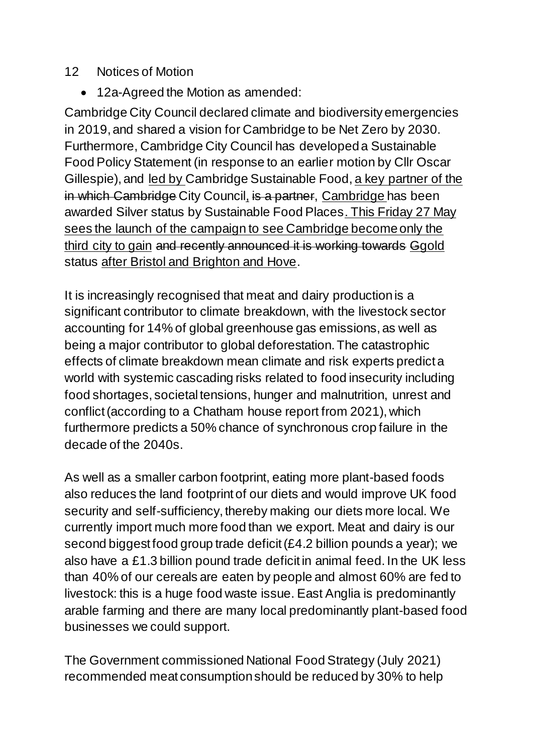## 12 Notices of Motion

12a-Agreed the Motion as amended:

Cambridge City Council declared climate and biodiversity emergencies in 2019, and shared a vision for Cambridge to be Net Zero by 2030. Furthermore, Cambridge City Council has developed a Sustainable Food Policy Statement (in response to an earlier motion by Cllr Oscar Gillespie), and led by Cambridge Sustainable Food, a key partner of the in which Cambridge City Council, is a partner, Cambridge has been awarded Silver status by Sustainable Food Places. This Friday 27 May sees the launch of the campaign to see Cambridge become only the third city to gain and recently announced it is working towards Ggold status after Bristol and Brighton and Hove.

It is increasingly recognised that meat and dairy production is a significant contributor to climate breakdown, with the livestock sector accounting for 14% of global greenhouse gas emissions, as well as being a major contributor to global deforestation. The catastrophic effects of climate breakdown mean climate and risk experts predict a world with systemic cascading risks related to food insecurity including food shortages, societal tensions, hunger and malnutrition, unrest and conflict (according to a Chatham house report from 2021), which furthermore predicts a 50% chance of synchronous crop failure in the decade of the 2040s.

As well as a smaller carbon footprint, eating more plant-based foods also reduces the land footprint of our diets and would improve UK food security and self-sufficiency, thereby making our diets more local. We currently import much more food than we export. Meat and dairy is our second biggest food group trade deficit (£4.2 billion pounds a year); we also have a £1.3 billion pound trade deficit in animal feed. In the UK less than 40% of our cereals are eaten by people and almost 60% are fed to livestock: this is a huge food waste issue. East Anglia is predominantly arable farming and there are many local predominantly plant-based food businesses we could support.

The Government commissioned National Food Strategy (July 2021) recommended meat consumption should be reduced by 30% to help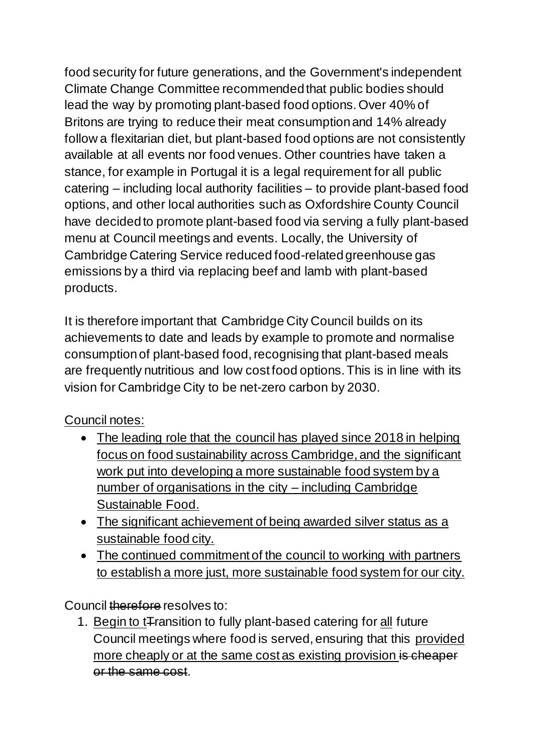food security for future generations, and the Government's independent Climate Change Committee recommended that public bodies should lead the way by promoting plant-based food options. Over 40% of Britons are trying to reduce their meat consumption and 14% already follow a flexitarian diet, but plant-based food options are not consistently available at all events nor food venues. Other countries have taken a stance, for example in Portugal it is a legal requirement for all public catering – including local authority facilities – to provide plant-based food options, and other local authorities such as Oxfordshire County Council have decided to promote plant-based food via serving a fully plant-based menu at Council meetings and events. Locally, the University of Cambridge Catering Service reduced food-related greenhouse gas emissions by a third via replacing beef and lamb with plant-based products.

It is therefore important that Cambridge City Council builds on its achievements to date and leads by example to promote and normalise consumption of plant-based food, recognising that plant-based meals are frequently nutritious and low cost food options. This is in line with its vision for Cambridge City to be net-zero carbon by 2030.

## Council notes:

- The leading role that the council has played since 2018 in helping focus on food sustainability across Cambridge, and the significant work put into developing a more sustainable food system by a number of organisations in the city – including Cambridge Sustainable Food.
- The significant achievement of being awarded silver status as a sustainable food city.
- The continued commitment of the council to working with partners to establish a more just, more sustainable food system for our city.

Council therefore resolves to:

1. Begin to t<sub>ransition</sub> to fully plant-based catering for all future Council meetings where food is served, ensuring that this provided more cheaply or at the same cost as existing provision is cheaper or the same cost.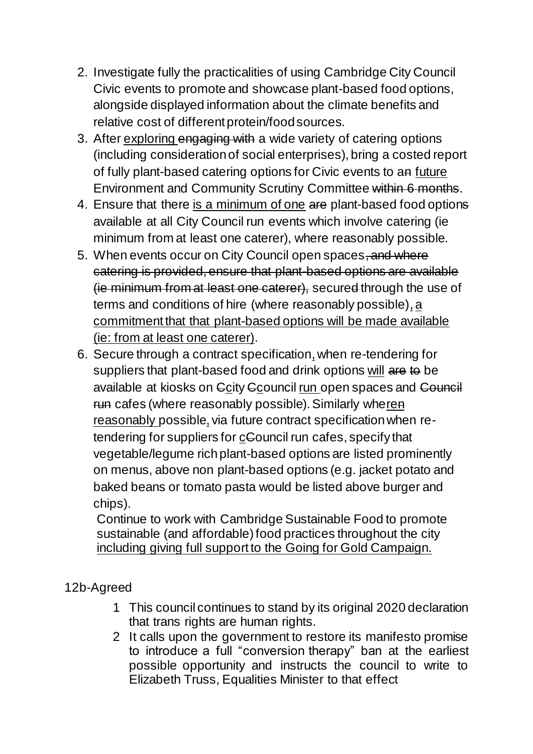- 2. Investigate fully the practicalities of using Cambridge City Council Civic events to promote and showcase plant-based food options, alongside displayed information about the climate benefits and relative cost of different protein/food sources.
- 3. After exploring engaging with a wide variety of catering options (including consideration of social enterprises), bring a costed report of fully plant-based catering options for Civic events to an future Environment and Community Scrutiny Committee within 6 months.
- 4. Ensure that there is a minimum of one are plant-based food options available at all City Council run events which involve catering (ie minimum from at least one caterer), where reasonably possible.
- 5. When events occur on City Council open spaces, and where catering is provided, ensure that plant-based options are available (ie minimum from at least one caterer), secured through the use of terms and conditions of hire (where reasonably possible), a commitment that that plant-based options will be made available (ie: from at least one caterer).
- 6. Secure through a contract specification,when re-tendering for suppliers that plant-based food and drink options will are to be available at kiosks on Ccity Ccouncil run open spaces and Council run cafes (where reasonably possible). Similarly wheren reasonably possible, via future contract specification when retendering for suppliers for cCouncil run cafes, specify that vegetable/legume rich plant-based options are listed prominently on menus, above non plant-based options (e.g. jacket potato and baked beans or tomato pasta would be listed above burger and chips).

Continue to work with Cambridge Sustainable Food to promote sustainable (and affordable) food practices throughout the city including giving full support to the Going for Gold Campaign.

12b-Agreed

- 1 This council continues to stand by its original 2020 declaration that trans rights are human rights.
- 2 It calls upon the government to restore its manifesto promise to introduce a full "conversion therapy" ban at the earliest possible opportunity and instructs the council to write to Elizabeth Truss, Equalities Minister to that effect